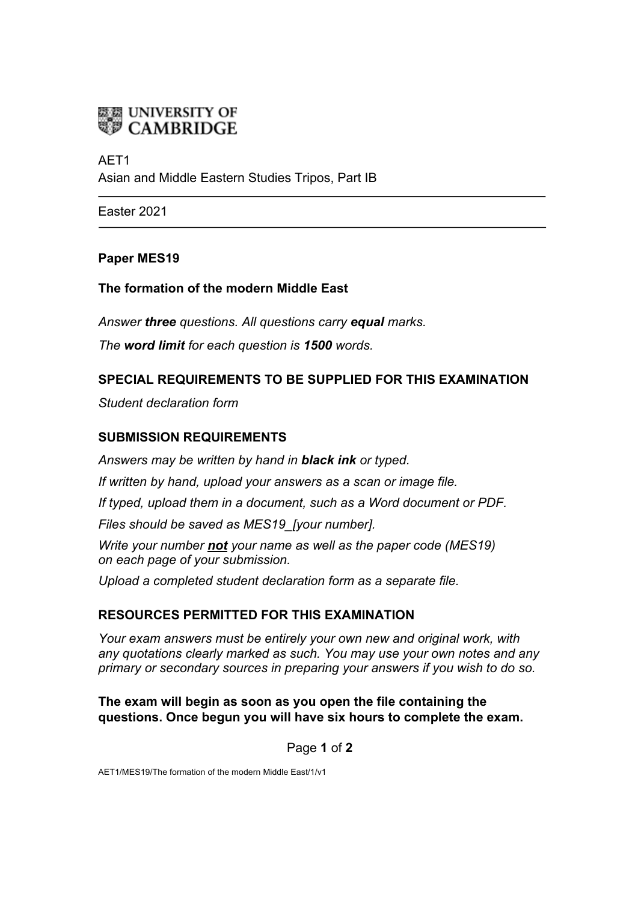

# AFT<sub>1</sub> Asian and Middle Eastern Studies Tripos, Part IB

Easter 2021

## **Paper MES19**

### **The formation of the modern Middle East**

*Answer three questions. All questions carry equal marks. The word limit for each question is 1500 words.*

## **SPECIAL REQUIREMENTS TO BE SUPPLIED FOR THIS EXAMINATION**

*Student declaration form*

## **SUBMISSION REQUIREMENTS**

*Answers may be written by hand in black ink or typed.*

*If written by hand, upload your answers as a scan or image file.*

*If typed, upload them in a document, such as a Word document or PDF.*

*Files should be saved as MES19\_[your number].*

*Write your number not your name as well as the paper code (MES19) on each page of your submission.*

*Upload a completed student declaration form as a separate file.*

#### **RESOURCES PERMITTED FOR THIS EXAMINATION**

*Your exam answers must be entirely your own new and original work, with any quotations clearly marked as such. You may use your own notes and any primary or secondary sources in preparing your answers if you wish to do so.*

#### **The exam will begin as soon as you open the file containing the questions. Once begun you will have six hours to complete the exam.**

Page **1** of **2**

AET1/MES19/The formation of the modern Middle East/1/v1